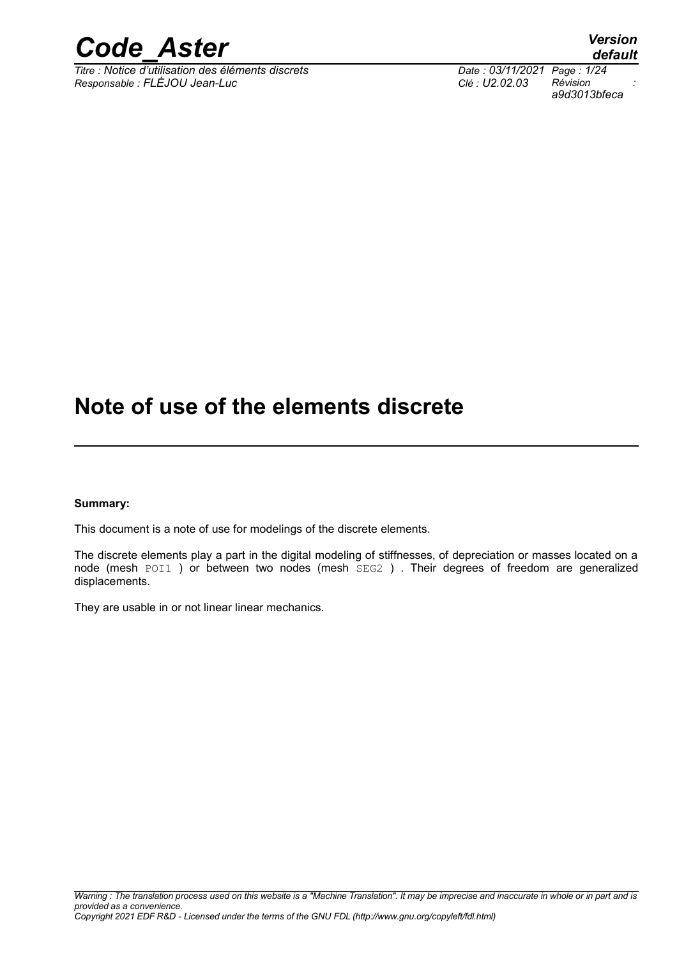

 $\overline{T}$ itre : Notice d'utilisation des éléments discrets *Responsable : FLÉJOU Jean-Luc Clé : U2.02.03 Révision :*

*default a9d3013bfeca*

### **Note of use of the elements discrete**

#### **Summary:**

This document is a note of use for modelings of the discrete elements.

The discrete elements play a part in the digital modeling of stiffnesses, of depreciation or masses located on a node (mesh POI1 ) or between two nodes (mesh SEG2 ) . Their degrees of freedom are generalized displacements.

They are usable in or not linear linear mechanics.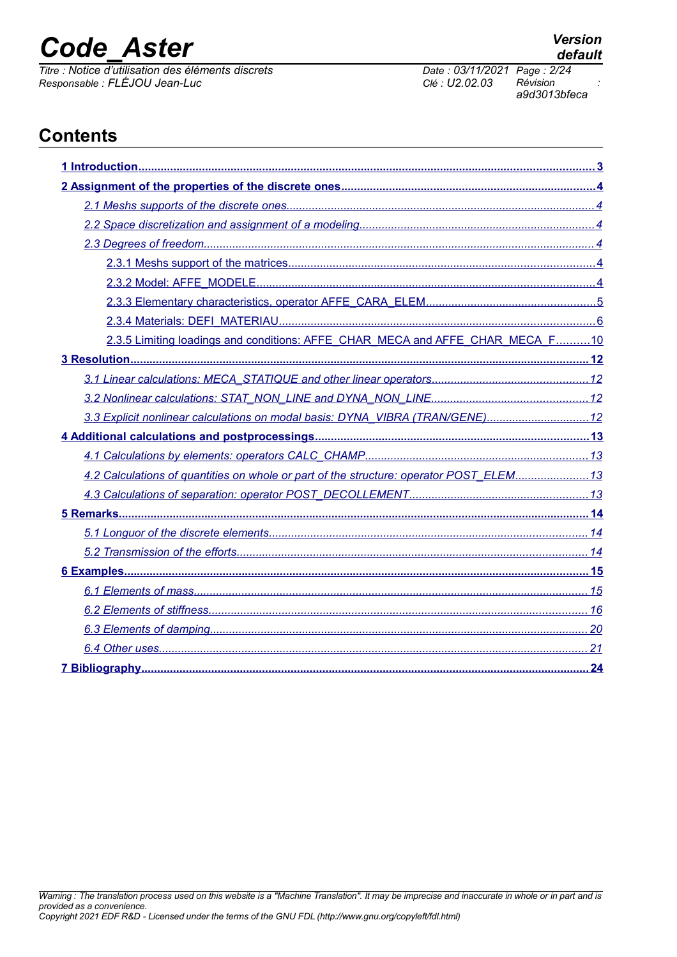*Titre : Notice d'utilisation des éléments discrets Date : 03/11/2021 Page : 2/24 Responsable : FLÉJOU Jean-Luc Clé : U2.02.03 Révision :*

*a9d3013bfeca*

### **Contents**

| 2.3.5 Limiting loadings and conditions: AFFE_CHAR_MECA and AFFE_CHAR_MECA_F10          |
|----------------------------------------------------------------------------------------|
|                                                                                        |
|                                                                                        |
|                                                                                        |
| 3.3 Explicit nonlinear calculations on modal basis: DYNA_VIBRA (TRAN/GENE)12           |
|                                                                                        |
|                                                                                        |
| 4.2 Calculations of quantities on whole or part of the structure: operator POST ELEM13 |
|                                                                                        |
|                                                                                        |
|                                                                                        |
|                                                                                        |
|                                                                                        |
|                                                                                        |
|                                                                                        |
|                                                                                        |
|                                                                                        |
|                                                                                        |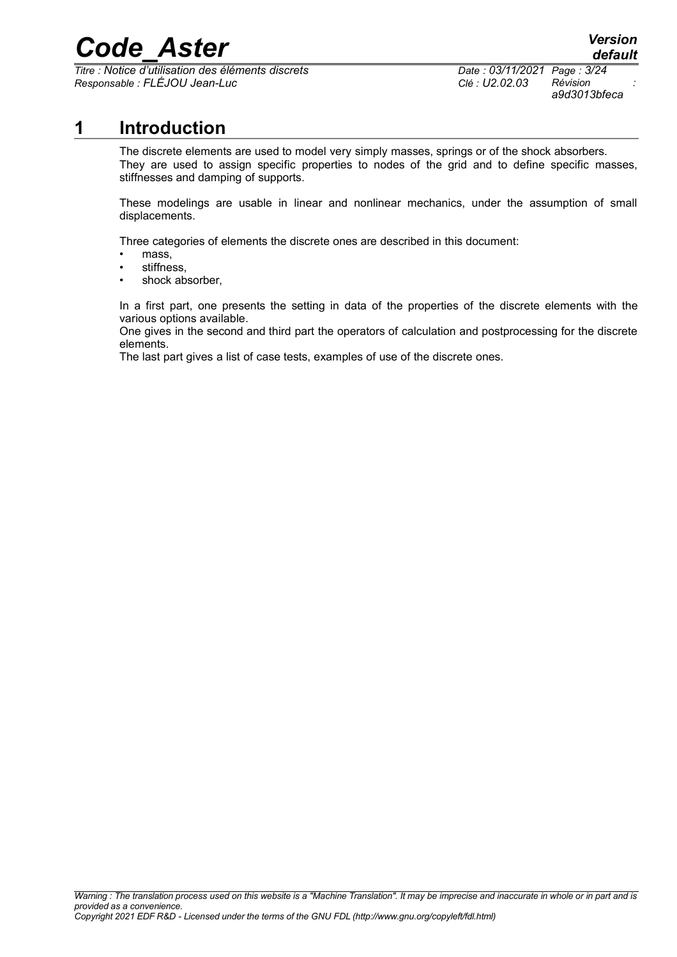*Titre : Notice d'utilisation des éléments discrets Date : 03/11/2021 Page : 3/24 Responsable : FLÉJOU Jean-Luc Clé : U2.02.03 Révision :*

*a9d3013bfeca*

#### **1 Introduction**

<span id="page-2-0"></span>The discrete elements are used to model very simply masses, springs or of the shock absorbers. They are used to assign specific properties to nodes of the grid and to define specific masses, stiffnesses and damping of supports.

These modelings are usable in linear and nonlinear mechanics, under the assumption of small displacements.

Three categories of elements the discrete ones are described in this document:

- mass,
- stiffness,
- shock absorber,

In a first part, one presents the setting in data of the properties of the discrete elements with the various options available.

One gives in the second and third part the operators of calculation and postprocessing for the discrete elements.

The last part gives a list of case tests, examples of use of the discrete ones.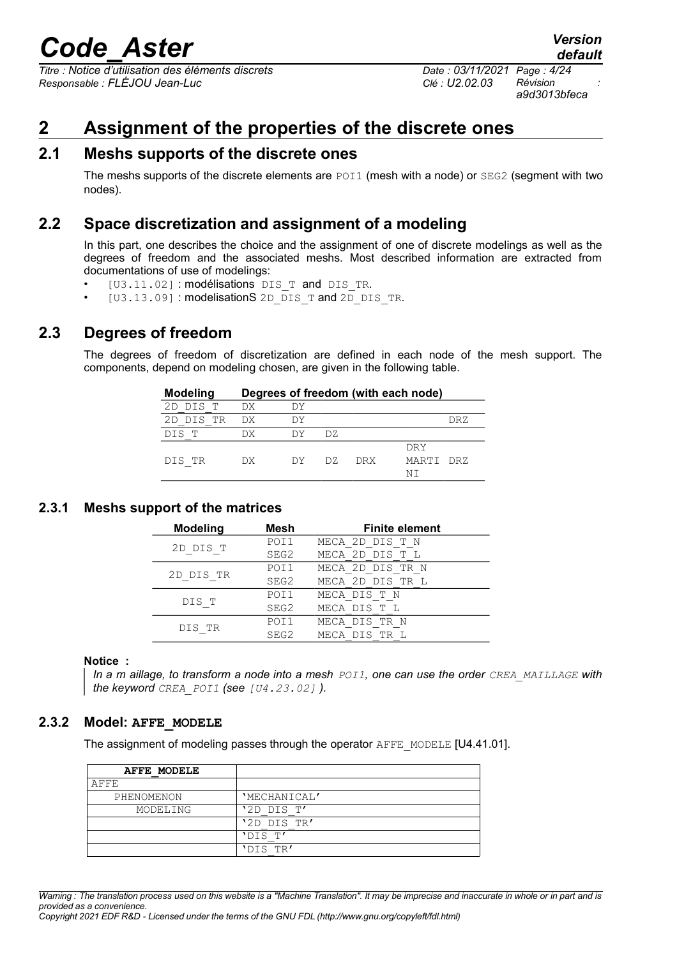*Titre : Notice d'utilisation des éléments discrets Date : 03/11/2021 Page : 4/24 Responsable : FLÉJOU Jean-Luc Clé : U2.02.03 Révision :*

*a9d3013bfeca*

#### <span id="page-3-5"></span>**2 Assignment of the properties of the discrete ones**

#### **2.1 Meshs supports of the discrete ones**

<span id="page-3-4"></span>The meshs supports of the discrete elements are POI1 (mesh with a node) or SEG2 (segment with two nodes).

#### **2.2 Space discretization and assignment of a modeling**

<span id="page-3-3"></span>In this part, one describes the choice and the assignment of one of discrete modelings as well as the degrees of freedom and the associated meshs. Most described information are extracted from documentations of use of modelings:

- [U3.11.02]: modélisations DIS T and DIS TR.
- [U3.13.09]: modelisationS 2D DIS T and 2D DIS TR.

#### **2.3 Degrees of freedom**

<span id="page-3-2"></span>The degrees of freedom of discretization are defined in each node of the mesh support. The components, depend on modeling chosen, are given in the following table.

| <b>Modeling</b> |      |     |     |      | Degrees of freedom (with each node) |      |
|-----------------|------|-----|-----|------|-------------------------------------|------|
| 2D DIS T        | DX.  | DУ  |     |      |                                     |      |
| 2D DIS TR       | DX D | DУ  |     |      |                                     | DR Z |
| DIS T           | DХ   | DY. | DZ. |      |                                     |      |
|                 |      |     |     |      | <b>DRY</b>                          |      |
| DIS TR          | DX.  | DY. | DZ. | DRX. | MARTI DRZ                           |      |
|                 |      |     |     |      | NΤ                                  |      |

#### <span id="page-3-1"></span>**2.3.1 Meshs support of the matrices**

| <b>Modeling</b> | Mesh | <b>Finite element</b> |
|-----------------|------|-----------------------|
| 2D DIS T        | POI1 | MECA 2D DIS T N       |
|                 | SEG2 | MECA 2D DIS T L       |
| 2D DIS TR       | POI1 | MECA 2D DIS TR N      |
|                 | SEG2 | MECA 2D DIS TR L      |
|                 | POI1 | MECA DIS T N          |
| DIS T           | SEG2 | MECA DIS T L          |
| DIS TR          | POI1 | MECA DIS TR N         |
|                 | SEG2 | MECA DIS TR L         |

#### **Notice :**

*In a m aillage, to transform a node into a mesh POI1, one can use the order CREA\_MAILLAGE with the keyword CREA\_POI1 (see [U4.23.02] ).*

#### **2.3.2 Model: AFFE\_MODELE**

<span id="page-3-0"></span>The assignment of modeling passes through the operator AFFE\_MODELE [U4.41.01].

| AFFE MODELE |              |
|-------------|--------------|
| AFFE        |              |
| PHENOMENON  | 'MECHANICAL' |
| MODELING    | '2D DIS T'   |
|             | '2D DIS TR'  |
|             | 'DIS T'      |
|             | 'DIS TR'     |

*Warning : The translation process used on this website is a "Machine Translation". It may be imprecise and inaccurate in whole or in part and is provided as a convenience.*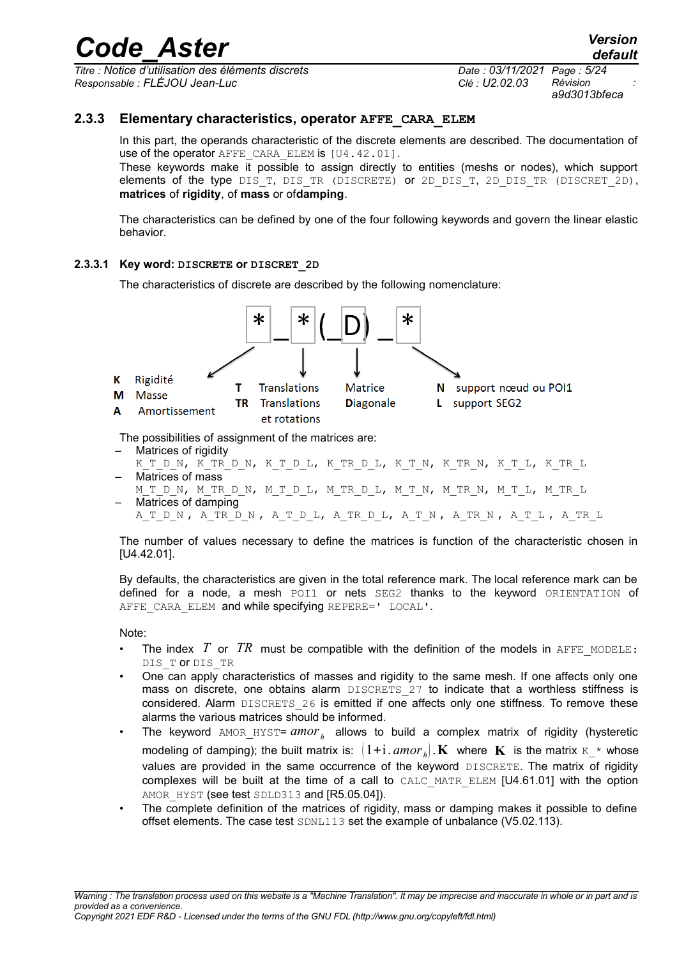*Titre : Notice d'utilisation des éléments discrets Date : 03/11/2021 Page : 5/24 Responsable : FLÉJOU Jean-Luc Clé : U2.02.03 Révision :*

*a9d3013bfeca*

#### **2.3.3 Elementary characteristics, operator AFFE\_CARA\_ELEM**

<span id="page-4-0"></span>In this part, the operands characteristic of the discrete elements are described. The documentation of use of the operator AFFE CARA ELEM is [U4.42.01].

These keywords make it possible to assign directly to entities (meshs or nodes), which support elements of the type DIS T, DIS TR (DISCRETE) or 2D DIS T, 2D DIS TR (DISCRET 2D), **matrices** of **rigidity**, of **mass** or of**damping**.

The characteristics can be defined by one of the four following keywords and govern the linear elastic behavior.

#### **2.3.3.1 Key word: DISCRETE or DISCRET\_2D**

The characteristics of discrete are described by the following nomenclature:



The possibilities of assignment of the matrices are:

- Matrices of rigidity
- K\_T\_D\_N, K\_TR\_D\_N, K\_T\_D\_L, K\_TR\_D\_L, K\_T\_N, K\_TR\_N, K\_T\_L, K\_TR\_L – Matrices of mass
- MTDN, MTRDN, MTDL, MTRDL, MTN, MTRN, MTL, MTRL
- Matrices of damping ATDN, ATRDN, ATDL, ATRDL, ATN, ATRN, ATL, ATRL

The number of values necessary to define the matrices is function of the characteristic chosen in [U4.42.01].

By defaults, the characteristics are given in the total reference mark. The local reference mark can be defined for a node, a mesh POI1 or nets SEG2 thanks to the keyword ORIENTATION of AFFE CARA ELEM and while specifying REPERE=' LOCAL'.

Note:

- The index  $T$  or  $TR$  must be compatible with the definition of the models in AFFE MODELE: DIS TO DIS TR
- One can apply characteristics of masses and rigidity to the same mesh. If one affects only one mass on discrete, one obtains alarm DISCRETS 27 to indicate that a worthless stiffness is considered. Alarm DISCRETS 26 is emitted if one affects only one stiffness. To remove these alarms the various matrices should be informed.
- The keyword AMOR\_HYST=  $amor$ <sub>h</sub> allows to build a complex matrix of rigidity (hysteretic modeling of damping); the built matrix is:  $(1+i \cdot \text{amor}_h)$ . **K** where **K** is the matrix  $K^*$  whose values are provided in the same occurrence of the keyword DISCRETE. The matrix of rigidity complexes will be built at the time of a call to CALC\_MATR\_ELEM [U4.61.01] with the option AMOR HYST (see test SDLD313 and [R5.05.04]).
- The complete definition of the matrices of rigidity, mass or damping makes it possible to define offset elements. The case test SDNL113 set the example of unbalance (V5.02.113).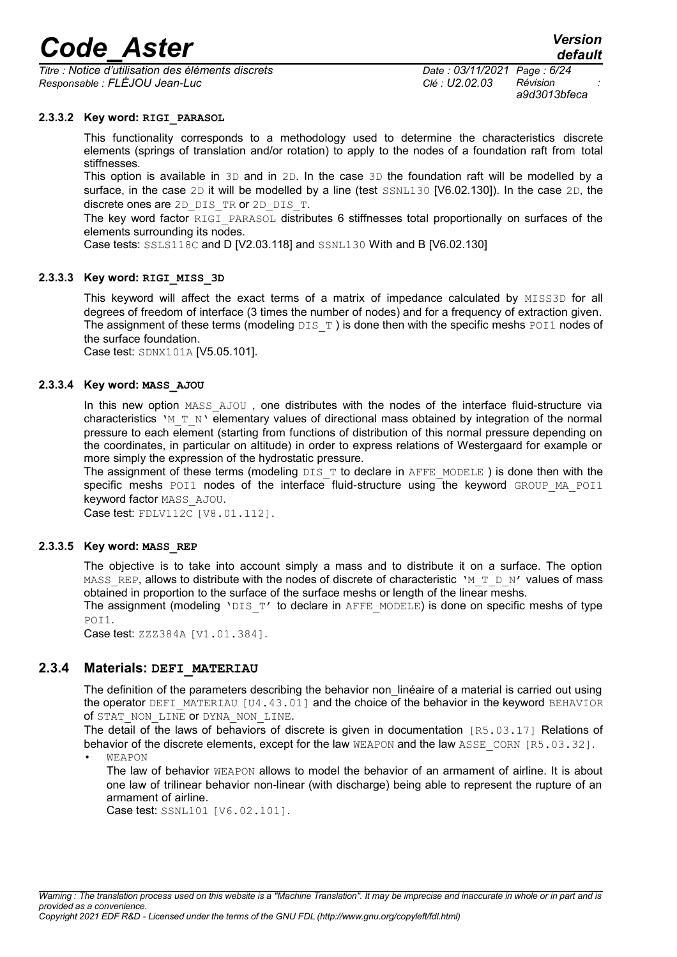*Titre : Notice d'utilisation des éléments discrets Date : 03/11/2021 Page : 6/24 Responsable : FLÉJOU Jean-Luc Clé : U2.02.03 Révision :*

*a9d3013bfeca*

*default*

#### **2.3.3.2 Key word: RIGI\_PARASOL**

This functionality corresponds to a methodology used to determine the characteristics discrete elements (springs of translation and/or rotation) to apply to the nodes of a foundation raft from total stiffnesses.

This option is available in  $3D$  and in  $2D$ . In the case  $3D$  the foundation raft will be modelled by a surface, in the case 2D it will be modelled by a line (test SSNL130 [V6.02.130]). In the case 2D, the discrete ones are 2D\_DIS\_TR or 2D\_DIS\_T.

The key word factor RIGI PARASOL distributes 6 stiffnesses total proportionally on surfaces of the elements surrounding its nodes.

Case tests: SSLS118C and D [V2.03.118] and SSNL130 With and B [V6.02.130]

#### **2.3.3.3 Key word: RIGI\_MISS\_3D**

This keyword will affect the exact terms of a matrix of impedance calculated by MISS3D for all degrees of freedom of interface (3 times the number of nodes) and for a frequency of extraction given. The assignment of these terms (modeling  $DIST$ ) is done then with the specific meshs POI1 nodes of the surface foundation.

Case test: SDNX101A [V5.05.101].

#### **2.3.3.4 Key word: MASS\_AJOU**

In this new option MASS AJOU, one distributes with the nodes of the interface fluid-structure via characteristics 'M\_T\_N' elementary values of directional mass obtained by integration of the normal pressure to each element (starting from functions of distribution of this normal pressure depending on the coordinates, in particular on altitude) in order to express relations of Westergaard for example or more simply the expression of the hydrostatic pressure.

The assignment of these terms (modeling  $DIS$  T to declare in AFFE\_MODELE ) is done then with the specific meshs POI1 nodes of the interface fluid-structure using the keyword GROUP MA POI1 keyword factor MASS\_AJOU.

Case test: FDLV112C [V8.01.112].

#### **2.3.3.5 Key word: MASS\_REP**

The objective is to take into account simply a mass and to distribute it on a surface. The option MASS REP, allows to distribute with the nodes of discrete of characteristic 'M\_T\_D\_N' values of mass obtained in proportion to the surface of the surface meshs or length of the linear meshs.

The assignment (modeling 'DIS\_T' to declare in AFFE\_MODELE) is done on specific meshs of type POI1.

Case test: ZZZ384A [V1.01.384].

#### **2.3.4 Materials: DEFI\_MATERIAU**

<span id="page-5-0"></span>The definition of the parameters describing the behavior non linéaire of a material is carried out using the operator DEFI\_MATERIAU [U4.43.01] and the choice of the behavior in the keyword BEHAVIOR of STAT\_NON\_LINE or DYNA\_NON\_LINE.

The detail of the laws of behaviors of discrete is given in documentation [R5.03.17] Relations of behavior of the discrete elements, except for the law WEAPON and the law ASSE CORN [R5.03.32]. • WEAPON

The law of behavior WEAPON allows to model the behavior of an armament of airline. It is about one law of trilinear behavior non-linear (with discharge) being able to represent the rupture of an armament of airline.

Case test: SSNL101 [V6.02.101].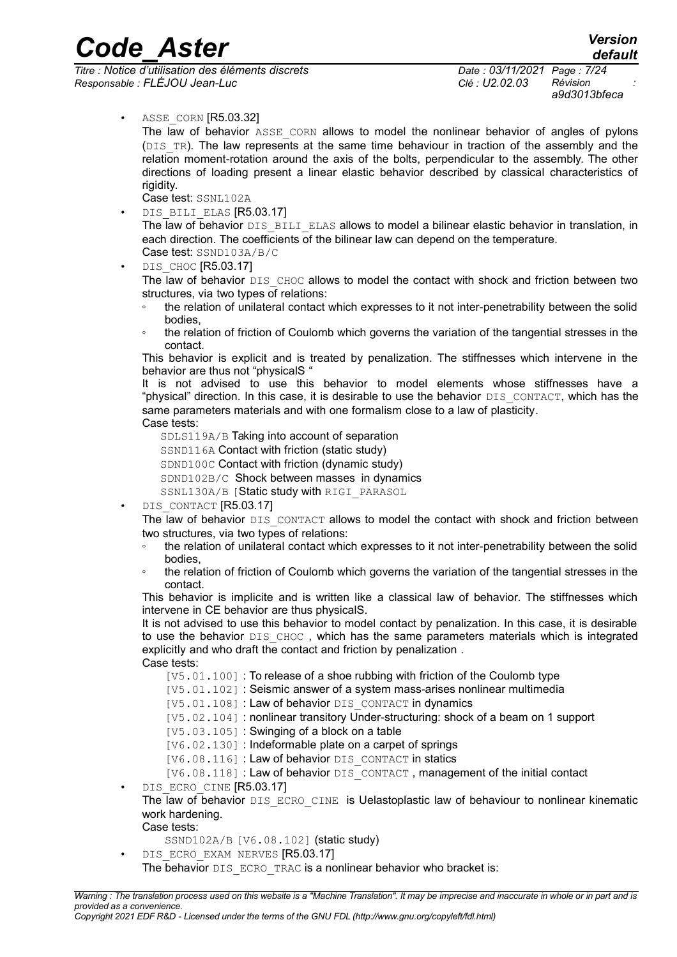*Titre : Notice d'utilisation des éléments discrets Date : 03/11/2021 Page : 7/24 Responsable : FLÉJOU Jean-Luc Clé : U2.02.03 Révision :*

*a9d3013bfeca*

• ASSE\_CORN [R5.03.32]

The law of behavior ASSE CORN allows to model the nonlinear behavior of angles of pylons (DIS TR). The law represents at the same time behaviour in traction of the assembly and the relation moment-rotation around the axis of the bolts, perpendicular to the assembly. The other directions of loading present a linear elastic behavior described by classical characteristics of rigidity.

- Case test: SSNL102A
- DIS BILI ELAS [R5.03.17]

The law of behavior DIS\_BILI\_ELAS allows to model a bilinear elastic behavior in translation, in each direction. The coefficients of the bilinear law can depend on the temperature. Case test: SSND103A/B/C

DIS CHOC [R5.03.17]

The law of behavior DIS CHOC allows to model the contact with shock and friction between two structures, via two types of relations:

- the relation of unilateral contact which expresses to it not inter-penetrability between the solid bodies,
- the relation of friction of Coulomb which governs the variation of the tangential stresses in the contact.

This behavior is explicit and is treated by penalization. The stiffnesses which intervene in the behavior are thus not "physicalS "

It is not advised to use this behavior to model elements whose stiffnesses have a "physical" direction. In this case, it is desirable to use the behavior DIS CONTACT, which has the same parameters materials and with one formalism close to a law of plasticity. Case tests:

SDLS119A/B Taking into account of separation

- SSND116A Contact with friction (static study)
- SDND100C Contact with friction (dynamic study)
- SDND102B/C Shock between masses in dynamics
- SSNL130A/B [Static study with RIGI\_PARASOL
- DIS CONTACT [R5.03.17]

The law of behavior DIS CONTACT allows to model the contact with shock and friction between two structures, via two types of relations:

- the relation of unilateral contact which expresses to it not inter-penetrability between the solid bodies,
- the relation of friction of Coulomb which governs the variation of the tangential stresses in the contact.

This behavior is implicite and is written like a classical law of behavior. The stiffnesses which intervene in CE behavior are thus physicalS.

It is not advised to use this behavior to model contact by penalization. In this case, it is desirable to use the behavior DIS CHOC, which has the same parameters materials which is integrated explicitly and who draft the contact and friction by penalization . Case tests:

- [V5.01.100] : To release of a shoe rubbing with friction of the Coulomb type
- [V5.01.102] : Seismic answer of a system mass-arises nonlinear multimedia
- [V5.01.108] : Law of behavior DIS\_CONTACT in dynamics
- [V5.02.104] : nonlinear transitory Under-structuring: shock of a beam on 1 support
- [V5.03.105]: Swinging of a block on a table
- [V6.02.130] : Indeformable plate on a carpet of springs
- [V6.08.116] : Law of behavior DIS\_CONTACT in statics
- [V6.08.118] : Law of behavior DIS\_CONTACT, management of the initial contact
- DIS ECRO CINE [R5.03.17]
	- The law of behavior DIS\_ECRO\_CINE is Uelastoplastic law of behaviour to nonlinear kinematic work hardening.

#### Case tests:

- SSND102A/B [V6.08.102] (static study)
- DIS ECRO EXAM NERVES [R5.03.17]
- The behavior DIS\_ECRO\_TRAC is a nonlinear behavior who bracket is: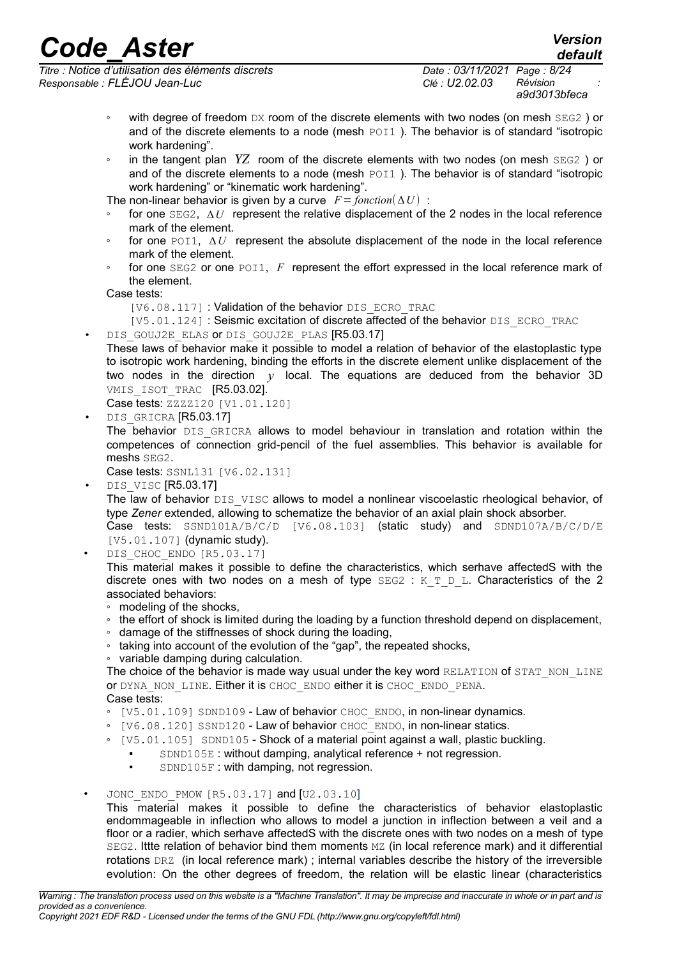*Titre : Notice d'utilisation des éléments discrets Date : 03/11/2021 Page : 8/24 Responsable : FLÉJOU Jean-Luc Clé : U2.02.03 Révision :*

*default*

- with degree of freedom DX room of the discrete elements with two nodes (on mesh SEG2) or and of the discrete elements to a node (mesh POI1). The behavior is of standard "isotropic work hardening".
- in the tangent plan *YZ* room of the discrete elements with two nodes (on mesh SEG2 ) or and of the discrete elements to a node (mesh POI1). The behavior is of standard "isotropic work hardening" or "kinematic work hardening".

The non-linear behavior is given by a curve  $F =$  *fonction* $(\Delta U)$  :

- for one  $SEG2$ ,  $\Delta U$  represent the relative displacement of the 2 nodes in the local reference mark of the element.
- for one  $POL1$ ,  $\Delta U$  represent the absolute displacement of the node in the local reference mark of the element.
- for one SEG2 or one POI1, *F* represent the effort expressed in the local reference mark of the element.

Case tests:

[V6.08.117] : Validation of the behavior DIS\_ECRO\_TRAC

[V5.01.124] : Seismic excitation of discrete affected of the behavior DIS\_ECRO\_TRAC

- DIS\_GOUJ2E\_ELAS or DIS\_GOUJ2E\_PLAS [R5.03.17]
- These laws of behavior make it possible to model a relation of behavior of the elastoplastic type to isotropic work hardening, binding the efforts in the discrete element unlike displacement of the two nodes in the direction *y* local. The equations are deduced from the behavior 3D VMIS ISOT TRAC [R5.03.02].

Case tests: ZZZZ120 [V1.01.120]

DIS GRICRA [R5.03.17]

The behavior DIS GRICRA allows to model behaviour in translation and rotation within the competences of connection grid-pencil of the fuel assemblies. This behavior is available for meshs SEG2.

Case tests: SSNL131 [V6.02.131]

DIS VISC [R5.03.17]

The law of behavior DIS\_VISC allows to model a nonlinear viscoelastic rheological behavior, of type *Zener* extended, allowing to schematize the behavior of an axial plain shock absorber.

Case tests: SSND101A/B/C/D [V6.08.103] (static study) and SDND107A/B/C/D/E [V5.01.107] (dynamic study).

DIS CHOC ENDO [R5.03.17]

This material makes it possible to define the characteristics, which serhave affectedS with the discrete ones with two nodes on a mesh of type  $SEG2 : K T D L$ . Characteristics of the 2 associated behaviors:

- modeling of the shocks,
- the effort of shock is limited during the loading by a function threshold depend on displacement,
- damage of the stiffnesses of shock during the loading,
- taking into account of the evolution of the "gap", the repeated shocks,
- variable damping during calculation.

The choice of the behavior is made way usual under the key word RELATION of STAT\_NON\_LINE or DYNA NON LINE. Either it is CHOC ENDO either it is CHOC ENDO PENA. Case tests:

- [V5.01.109] SDND109 Law of behavior CHOC\_ENDO, in non-linear dynamics.
- [V6.08.120] SSND120 Law of behavior CHOC\_ENDO, in non-linear statics.
- [V5.01.105] SDND105 Shock of a material point against a wall, plastic buckling.
	- SDND105E: without damping, analytical reference + not regression.
	- **SDND105F: with damping, not regression.**
- JONC ENDO PMOW  $[RS.03.17]$  and  $[U2.03.10]$

This material makes it possible to define the characteristics of behavior elastoplastic endommageable in inflection who allows to model a junction in inflection between a veil and a floor or a radier, which serhave affectedS with the discrete ones with two nodes on a mesh of type SEG2. Ittte relation of behavior bind them moments MZ (in local reference mark) and it differential rotations DRZ (in local reference mark) ; internal variables describe the history of the irreversible evolution: On the other degrees of freedom, the relation will be elastic linear (characteristics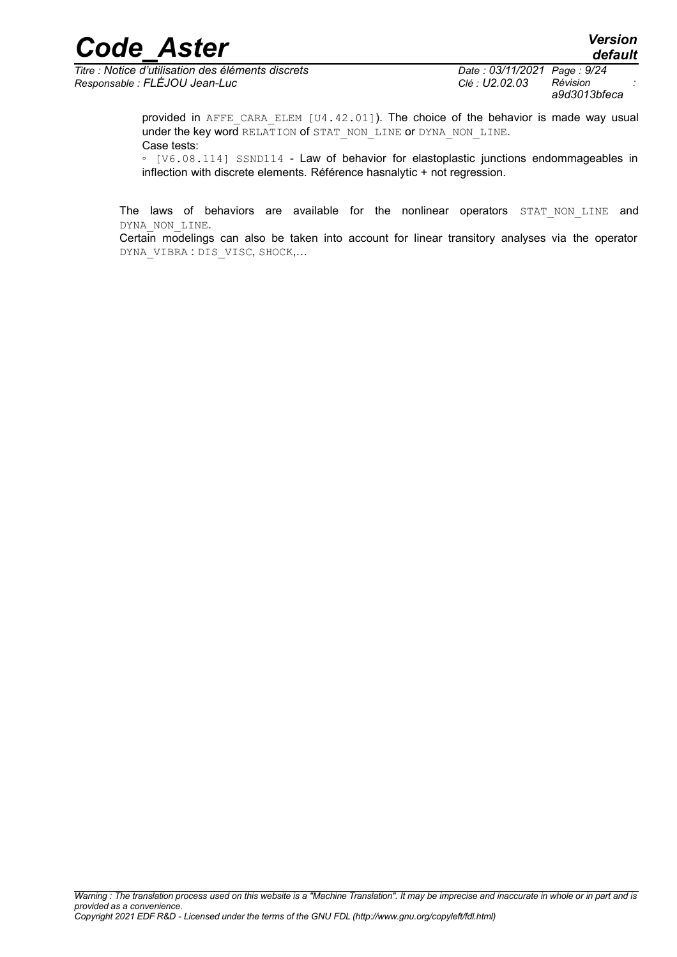*Titre : Notice d'utilisation des éléments discrets Date : 03/11/2021 Page : 9/24 Responsable : FLÉJOU Jean-Luc Clé : U2.02.03 Révision :*

*a9d3013bfeca*

provided in AFFE\_CARA\_ELEM  $[U4.42.01]$ ). The choice of the behavior is made way usual under the key word RELATION of STAT\_NON\_LINE or DYNA\_NON\_LINE. Case tests:

◦ [V6.08.114] SSND114 - Law of behavior for elastoplastic junctions endommageables in inflection with discrete elements. Référence hasnalytic + not regression.

The laws of behaviors are available for the nonlinear operators STAT NON LINE and DYNA\_NON\_LINE.

Certain modelings can also be taken into account for linear transitory analyses via the operator DYNA\_VIBRA : DIS\_VISC, SHOCK,…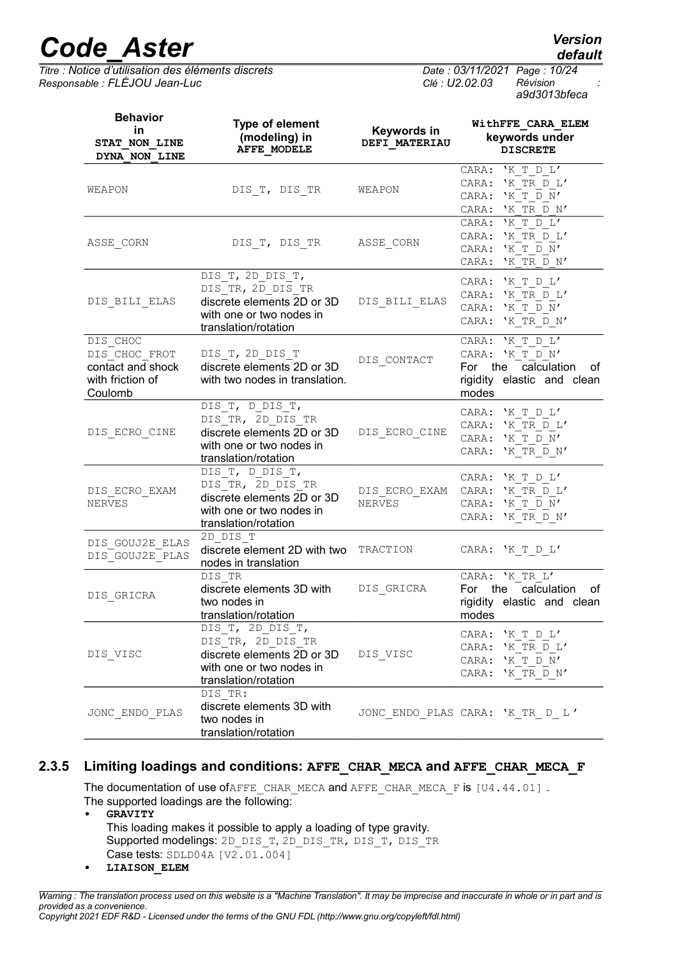*Titre : Notice d'utilisation des éléments discrets Date : 03/11/2021 Page : 10/24 Responsable : FLÉJOU Jean-Luc Clé : U2.02.03 Révision :*

*a9d3013bfeca*

| <b>Behavior</b><br>in<br>STAT NON LINE<br>DYNA NON LINE                       | Type of element<br>(modeling) in<br><b>AFFE MODELE</b>                                                                  | Keywords in<br>DEFI MATERIAU | WithFFE CARA ELEM<br>keywords under<br><b>DISCRETE</b>                                                    |
|-------------------------------------------------------------------------------|-------------------------------------------------------------------------------------------------------------------------|------------------------------|-----------------------------------------------------------------------------------------------------------|
| WEAPON                                                                        | DIS T, DIS TR                                                                                                           | WEAPON                       | CARA: 'K T D L'<br>'K TR D L'<br>CARA:<br>CARA: 'K T D N'<br>CARA: 'K TR D N'                             |
| ASSE CORN                                                                     | DIS T, DIS TR ASSE CORN                                                                                                 |                              | CARA: 'K T D L'<br>CARA: 'K TR D L'<br>'K T D N'<br>CARA:<br>CARA:<br>'K TR D N'                          |
| DIS_BILI_ELAS                                                                 | DIS T, 2D DIS T,<br>DIS TR, 2D DIS TR<br>discrete elements 2D or 3D<br>with one or two nodes in<br>translation/rotation | DIS BILI ELAS                | CARA: $'K T D L'$<br>CARA: 'K TR D L'<br>'K T D N'<br>CARA:<br>CARA:<br>'K TR D N'                        |
| DIS CHOC<br>DIS CHOC FROT<br>contact and shock<br>with friction of<br>Coulomb | DIS T, 2D DIS T<br>discrete elements 2D or 3D<br>with two nodes in translation.                                         | DIS CONTACT                  | 'K T D L'<br>CARA:<br>CARA: 'K T D N'<br>For the calculation<br>οf<br>rigidity elastic and clean<br>modes |
| DIS ECRO CINE                                                                 | DIS T, D DIS T,<br>DIS TR, 2D DIS TR<br>discrete elements 2D or 3D<br>with one or two nodes in<br>translation/rotation  | DIS ECRO CINE                | CARA: 'K T D L'<br>'K TR D L'<br>CARA:<br>'K T D N'<br>CARA:<br>'K TR $D N'$<br>CARA:                     |
| DIS ECRO EXAM<br>NERVES                                                       | DIS T, D DIS T,<br>DIS TR, 2D DIS TR<br>discrete elements 2D or 3D<br>with one or two nodes in<br>translation/rotation  | NERVES                       | CARA: 'K T D L'<br>DIS ECRO EXAM CARA: 'K TR D L'<br>CARA:<br>'K T D N'<br>'K TR D N'<br>CARA:            |
| DIS GOUJ2E ELAS<br>DIS_GOUJ2E_PLAS                                            | 2D DIS T<br>discrete element 2D with two<br>nodes in translation                                                        | TRACTION                     | CARA: 'K T D L'                                                                                           |
| DIS GRICRA                                                                    | DIS TR<br>discrete elements 3D with<br>two nodes in<br>translation/rotation                                             | DIS_GRICRA                   | CARA: 'K TR L'<br>calculation<br>For<br>the<br>οf<br>rigidity elastic and clean<br>modes                  |
| DIS_VISC                                                                      | DIS_T, 2D DIS T,<br>DIS TR, 2D DIS TR<br>discrete elements 2D or 3D<br>with one or two nodes in<br>translation/rotation | DIS_VISC                     | CARA: 'K T D L'<br>CARA: 'K TR D L'<br>'K T D N'<br>CARA:<br>CARA:<br>'K TR D N'                          |
| JONC ENDO PLAS                                                                | DIS TR:<br>discrete elements 3D with<br>two nodes in<br>translation/rotation                                            |                              | JONC ENDO PLAS CARA: 'K TR D L'                                                                           |

#### **2.3.5 Limiting loadings and conditions: AFFE\_CHAR\_MECA and AFFE\_CHAR\_MECA\_F**

<span id="page-9-0"></span>The documentation of use ofAFFE\_CHAR\_MECA and AFFE\_CHAR\_MECA\_F is [U4.44.01]. The supported loadings are the following:

- **• GRAVITY** This loading makes it possible to apply a loading of type gravity. Supported modelings: 2D\_DIS\_T, 2D\_DIS\_TR, DIS\_T, DIS\_TR Case tests:  $SDLD04A$   $[V2.01.004]$
- **• LIAISON\_ELEM**

*Warning : The translation process used on this website is a "Machine Translation". It may be imprecise and inaccurate in whole or in part and is provided as a convenience. Copyright 2021 EDF R&D - Licensed under the terms of the GNU FDL (http://www.gnu.org/copyleft/fdl.html)*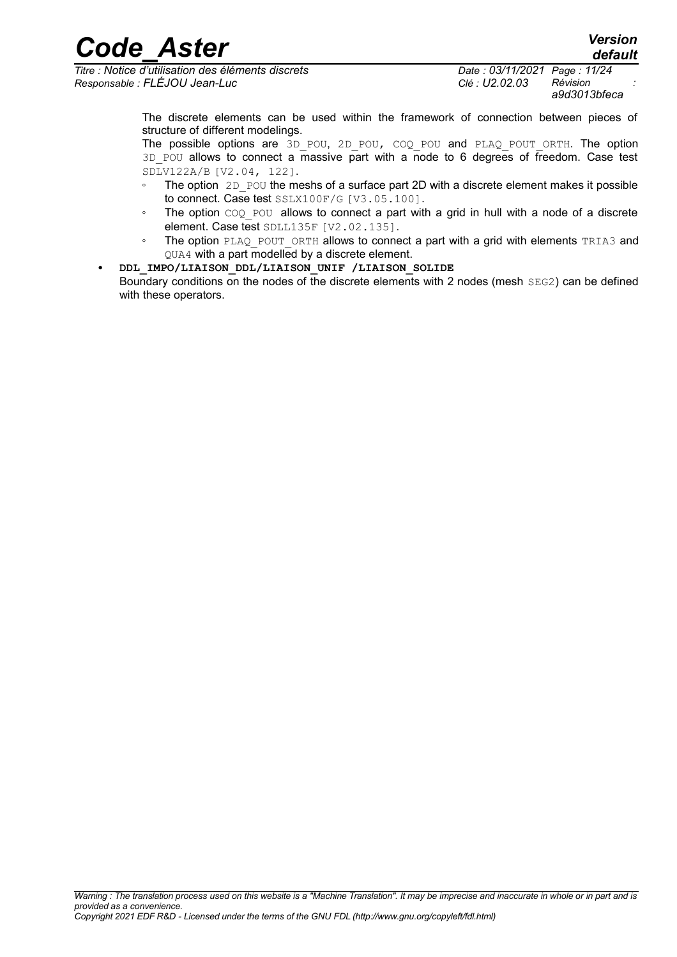*Titre : Notice d'utilisation des éléments discrets Date : 03/11/2021 Page : 11/24 Responsable : FLÉJOU Jean-Luc Clé : U2.02.03 Révision :*

*a9d3013bfeca*

The discrete elements can be used within the framework of connection between pieces of structure of different modelings.

The possible options are 3D POU, 2D POU, COQ POU and PLAQ POUT ORTH. The option  $3D$  POU allows to connect a massive part with a node to 6 degrees of freedom. Case test SDLV122A/B [V2.04, 122].

- The option 2D POU the meshs of a surface part 2D with a discrete element makes it possible to connect. Case test SSLX100F/G [V3.05.100].
- The option COQ POU allows to connect a part with a grid in hull with a node of a discrete element. Case test SDLL135F [V2.02.135].
- The option PLAQ POUT ORTH allows to connect a part with a grid with elements TRIA3 and QUA4 with a part modelled by a discrete element.
- **• DDL\_IMPO/LIAISON\_DDL/LIAISON\_UNIF /LIAISON\_SOLIDE** Boundary conditions on the nodes of the discrete elements with 2 nodes (mesh  $SEG2$ ) can be defined with these operators.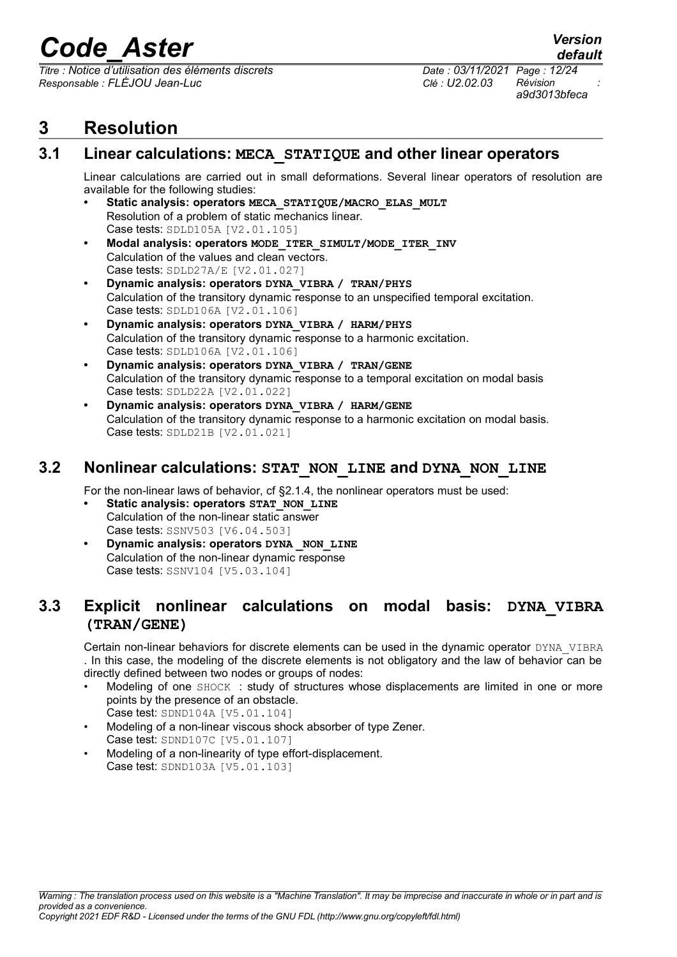*Titre : Notice d'utilisation des éléments discrets Date : 03/11/2021 Page : 12/24 Responsable : FLÉJOU Jean-Luc Clé : U2.02.03 Révision :*

*a9d3013bfeca*

*default*

#### <span id="page-11-3"></span>**3 Resolution**

#### **3.1 Linear calculations: MECA\_STATIQUE and other linear operators**

<span id="page-11-2"></span>Linear calculations are carried out in small deformations. Several linear operators of resolution are available for the following studies:

- **• Static analysis: operators MECA\_STATIQUE/MACRO\_ELAS\_MULT** Resolution of a problem of static mechanics linear. Case tests: SDLD105A [V2.01.105]
- **• Modal analysis: operators MODE\_ITER\_SIMULT/MODE\_ITER\_INV** Calculation of the values and clean vectors. Case tests: SDLD27A/E [V2.01.027]
- **• Dynamic analysis: operators DYNA\_VIBRA / TRAN/PHYS** Calculation of the transitory dynamic response to an unspecified temporal excitation. Case tests: SDLD106A [V2.01.106]
- **• Dynamic analysis: operators DYNA\_VIBRA / HARM/PHYS** Calculation of the transitory dynamic response to a harmonic excitation. Case tests: SDLD106A [V2.01.106]
- **• Dynamic analysis: operators DYNA\_VIBRA / TRAN/GENE** Calculation of the transitory dynamic response to a temporal excitation on modal basis Case tests: SDLD22A [V2.01.022]
- **• Dynamic analysis: operators DYNA\_VIBRA / HARM/GENE** Calculation of the transitory dynamic response to a harmonic excitation on modal basis. Case tests: SDLD21B [V2.01.021]

#### **3.2 Nonlinear calculations: STAT\_NON\_LINE and DYNA\_NON\_LINE**

<span id="page-11-1"></span>For the non-linear laws of behavior, cf §2.1.4, the nonlinear operators must be used:

- **• Static analysis: operators STAT\_NON\_LINE** Calculation of the non-linear static answer Case tests: SSNV503 [V6.04.503]
- **• Dynamic analysis: operators DYNA** NON LINE Calculation of the non-linear dynamic response Case tests: SSNV104 [V5.03.104]

#### **3.3 Explicit nonlinear calculations on modal basis: DYNA\_VIBRA (TRAN/GENE)**

<span id="page-11-0"></span>Certain non-linear behaviors for discrete elements can be used in the dynamic operator DYNA\_VIBRA . In this case, the modeling of the discrete elements is not obligatory and the law of behavior can be directly defined between two nodes or groups of nodes:

- Modeling of one SHOCK : study of structures whose displacements are limited in one or more points by the presence of an obstacle. Case test: SDND104A [V5.01.104]
- Modeling of a non-linear viscous shock absorber of type Zener. Case test: SDND107C [V5.01.107]
- Modeling of a non-linearity of type effort-displacement. Case test: SDND103A [V5.01.103]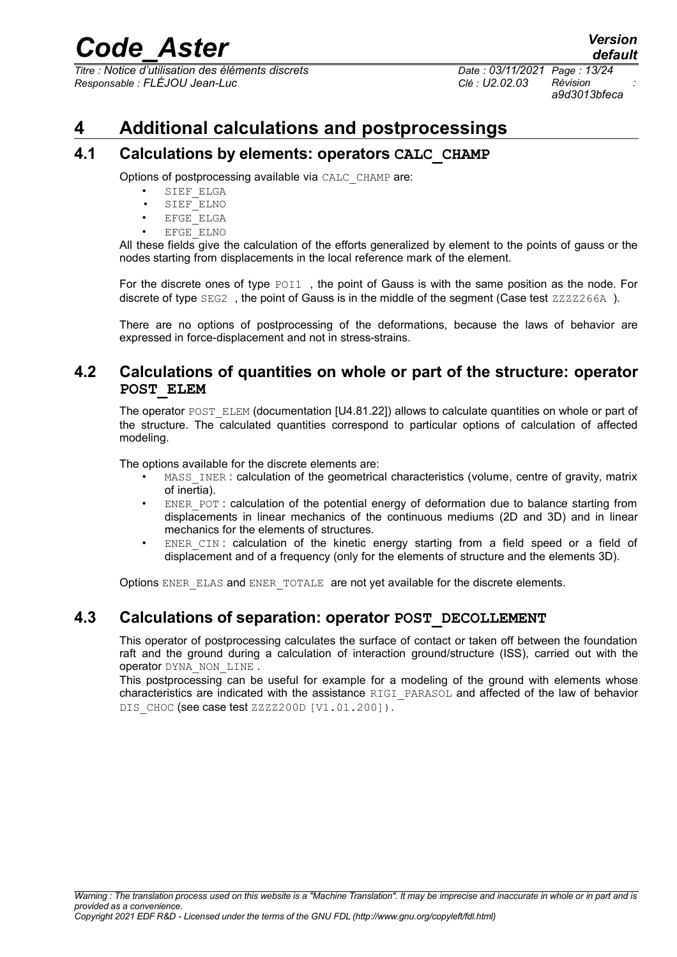*Titre : Notice d'utilisation des éléments discrets Date : 03/11/2021 Page : 13/24 Responsable : FLÉJOU Jean-Luc Clé : U2.02.03 Révision :*

*a9d3013bfeca*

#### <span id="page-12-3"></span>**4 Additional calculations and postprocessings**

#### **4.1 Calculations by elements: operators CALC\_CHAMP**

<span id="page-12-2"></span>Options of postprocessing available via CALC\_CHAMP are:

- SIEF ELGA
- SIEF\_ELNO
- EFGE\_ELGA
- EFGE\_ELNO

All these fields give the calculation of the efforts generalized by element to the points of gauss or the nodes starting from displacements in the local reference mark of the element.

For the discrete ones of type POI1, the point of Gauss is with the same position as the node. For discrete of type  $SEG2$ , the point of Gauss is in the middle of the segment (Case test  $ZZZZ266A$ ).

There are no options of postprocessing of the deformations, because the laws of behavior are expressed in force-displacement and not in stress-strains.

#### **4.2 Calculations of quantities on whole or part of the structure: operator POST\_ELEM**

<span id="page-12-1"></span>The operator POST\_ELEM (documentation  $[U4.81.22]$ ) allows to calculate quantities on whole or part of the structure. The calculated quantities correspond to particular options of calculation of affected modeling.

The options available for the discrete elements are:

- MASS INER : calculation of the geometrical characteristics (volume, centre of gravity, matrix of inertia).
- ENER POT : calculation of the potential energy of deformation due to balance starting from displacements in linear mechanics of the continuous mediums (2D and 3D) and in linear mechanics for the elements of structures.
- ENER CIN : calculation of the kinetic energy starting from a field speed or a field of displacement and of a frequency (only for the elements of structure and the elements 3D).

Options ENER\_ELAS and ENER\_TOTALE are not yet available for the discrete elements.

#### **4.3 Calculations of separation: operator POST\_DECOLLEMENT**

<span id="page-12-0"></span>This operator of postprocessing calculates the surface of contact or taken off between the foundation raft and the ground during a calculation of interaction ground/structure (ISS), carried out with the operator DYNA\_NON\_LINE .

This postprocessing can be useful for example for a modeling of the ground with elements whose characteristics are indicated with the assistance RIGI\_PARASOL and affected of the law of behavior DIS CHOC (see case test ZZZZ200D [V1.01.200]).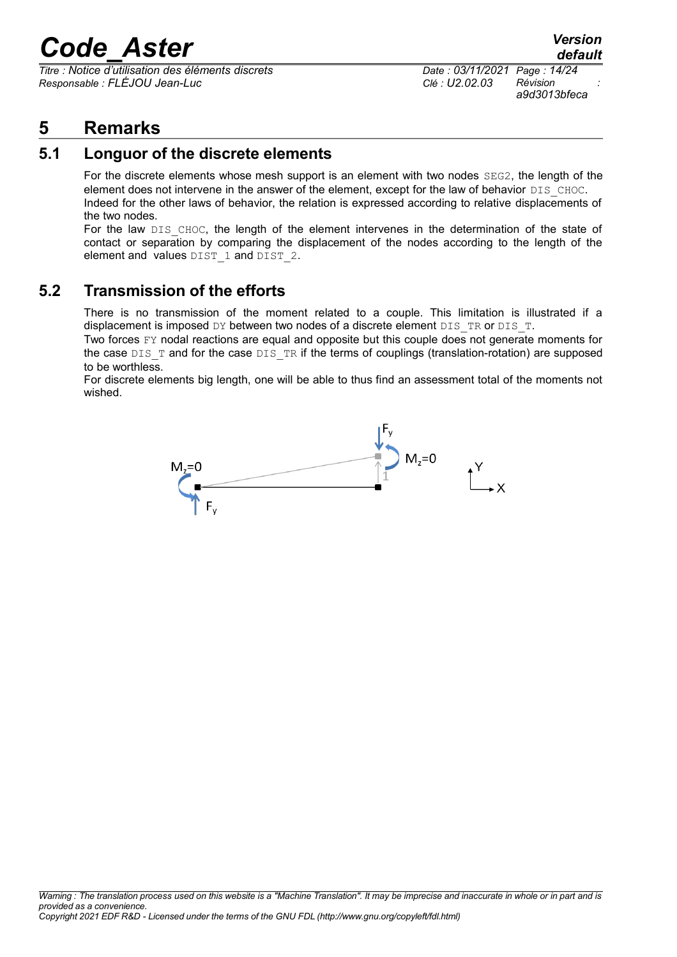*Titre : Notice d'utilisation des éléments discrets Date : 03/11/2021 Page : 14/24 Responsable : FLÉJOU Jean-Luc Clé : U2.02.03 Révision :*

*default a9d3013bfeca*

#### <span id="page-13-2"></span>**5 Remarks**

#### **5.1 Longuor of the discrete elements**

<span id="page-13-1"></span>For the discrete elements whose mesh support is an element with two nodes SEG2, the length of the element does not intervene in the answer of the element, except for the law of behavior DIS CHOC. Indeed for the other laws of behavior, the relation is expressed according to relative displacements of the two nodes.

For the law DIS CHOC, the length of the element intervenes in the determination of the state of contact or separation by comparing the displacement of the nodes according to the length of the element and values DIST 1 and DIST 2.

#### **5.2 Transmission of the efforts**

<span id="page-13-0"></span>There is no transmission of the moment related to a couple. This limitation is illustrated if a displacement is imposed DY between two nodes of a discrete element DIS\_TR or DIS\_T.

Two forces FY nodal reactions are equal and opposite but this couple does not generate moments for the case  $DIS$   $T$  and for the case  $DIS$   $TR$  if the terms of couplings (translation-rotation) are supposed to be worthless.

For discrete elements big length, one will be able to thus find an assessment total of the moments not wished.

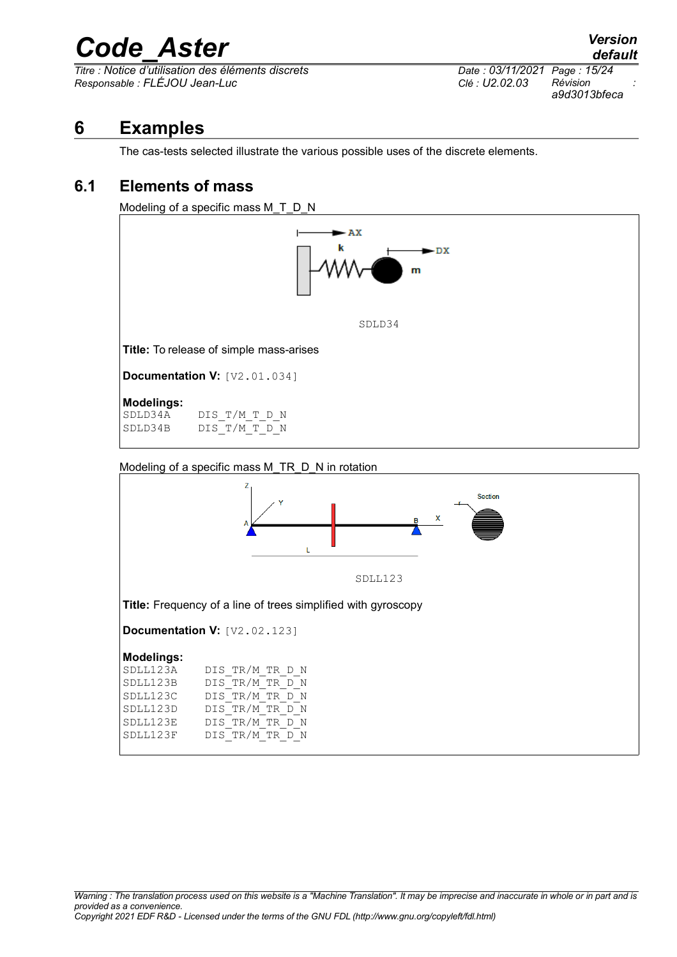$\overline{T}$ *Titre : Notice d'utilisation des éléments discrets Responsable : FLÉJOU Jean-Luc Clé : U2.02.03 Révision :*

*a9d3013bfeca*

#### **6 Examples**

<span id="page-14-1"></span>The cas-tests selected illustrate the various possible uses of the discrete elements.

#### **6.1 Elements of mass**

<span id="page-14-0"></span>Modeling of a specific mass M\_T\_D\_N



Modeling of a specific mass M\_TR\_D\_N in rotation

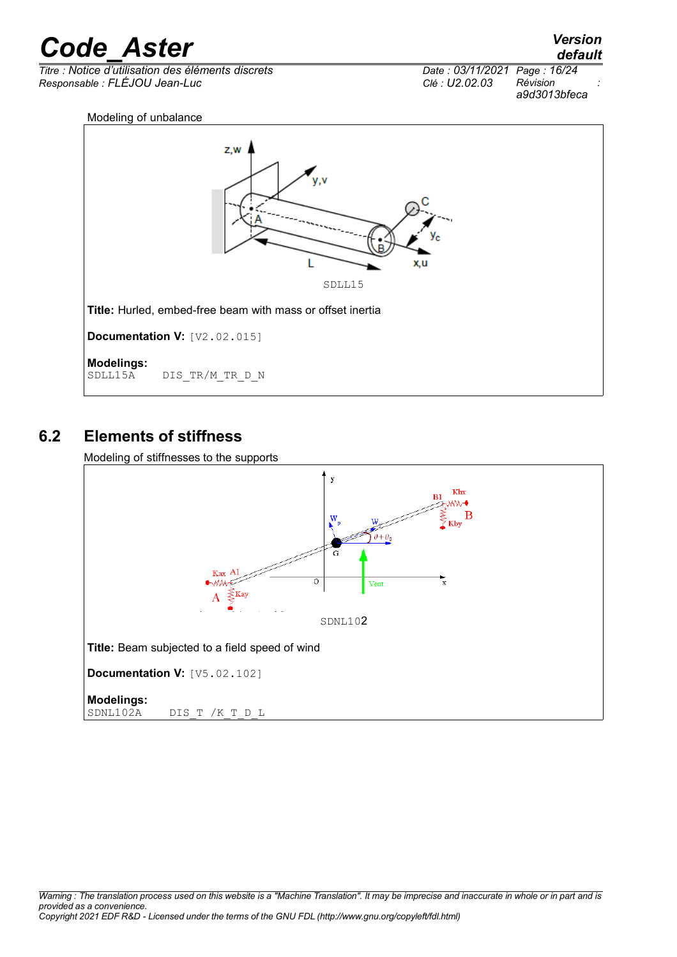*Titre : Notice d'utilisation des éléments discrets Date : 03/11/2021 Page : 16/24 Responsable : FLÉJOU Jean-Luc Clé : U2.02.03 Révision :*

*a9d3013bfeca*



#### **6.2 Elements of stiffness**

<span id="page-15-0"></span>Modeling of stiffnesses to the supports

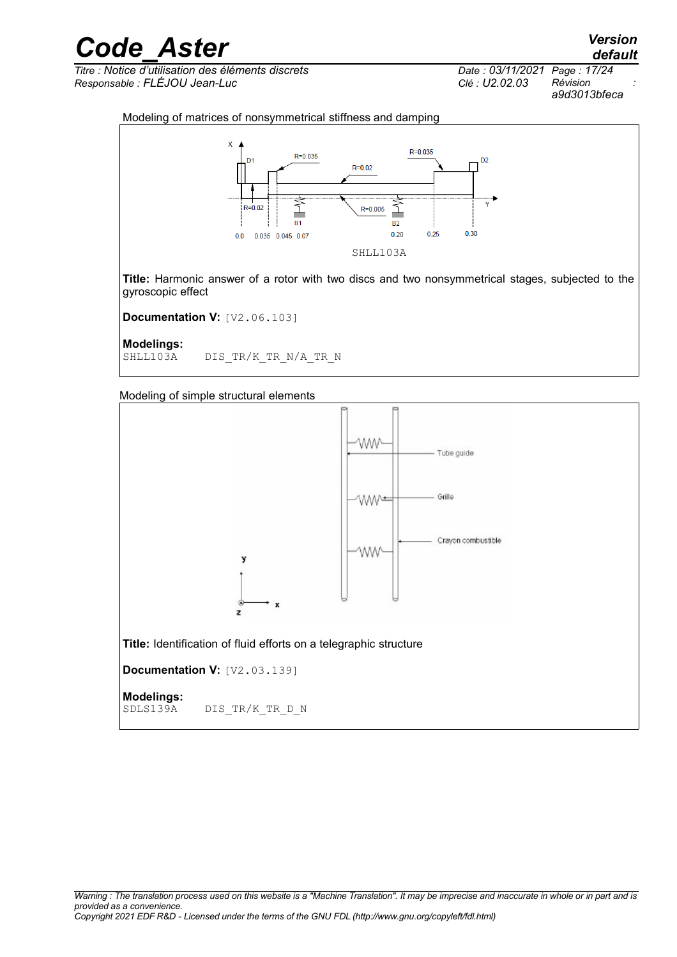*Titre : Notice d'utilisation des éléments discrets Date : 03/11/2021 Page : 17/24 Responsable : FLÉJOU Jean-Luc Clé : U2.02.03 Révision :*

*a9d3013bfeca*

#### Modeling of matrices of nonsymmetrical stiffness and damping



**Title:** Harmonic answer of a rotor with two discs and two nonsymmetrical stages, subjected to the gyroscopic effect

**Documentation V:** [V2.06.103]

**Modelings:**

DIS TR/K TR N/A TR N

Modeling of simple structural elements

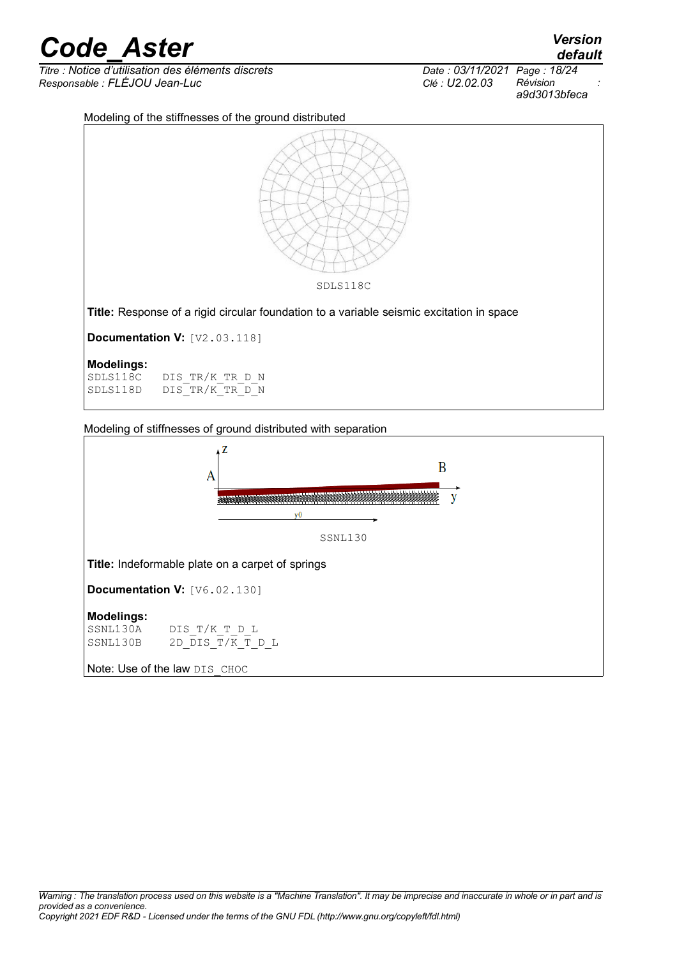$\overline{T}$ itre : Notice d'utilisation des éléments discrets *Responsable : FLÉJOU Jean-Luc Clé : U2.02.03 Révision :*

|                              | default      |  |
|------------------------------|--------------|--|
| Date: 03/11/2021 Page: 18/24 |              |  |
| CIe: U2.02.03                | Révision     |  |
|                              | a9d3013bfeca |  |

Modeling of the stiffnesses of the ground distributed



Modeling of stiffnesses of ground distributed with separation

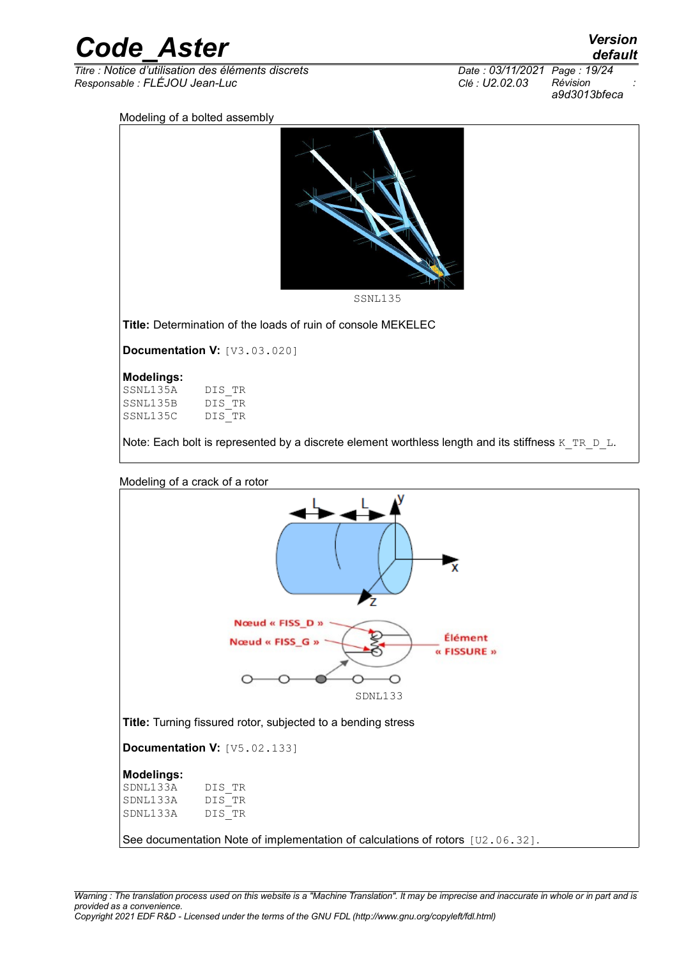| <b>Code Aster</b> | <b>Version</b> |
|-------------------|----------------|
|                   | default        |

*Titre : Notice d'utilisation des éléments discrets Date : 03/11/2021 Page : 19/24 Responsable : FLÉJOU Jean-Luc Clé : U2.02.03 Révision :*

*default a9d3013bfeca*

#### Modeling of a bolted assembly

| עוטוויט |         |
|---------|---------|
|         |         |
|         | SSNL135 |
|         |         |

**Title:** Determination of the loads of ruin of console MEKELEC

**Documentation V:** [V3.03.020]

#### **Modelings:**

SSNL135A DIS\_TR<br>SSNL135B DIS\_TR SSNL135B DIS\_TR<br>SSNL135C DIS\_TR SSNL135C

Note: Each bolt is represented by a discrete element worthless length and its stiffness  $K_TR_D$  L.



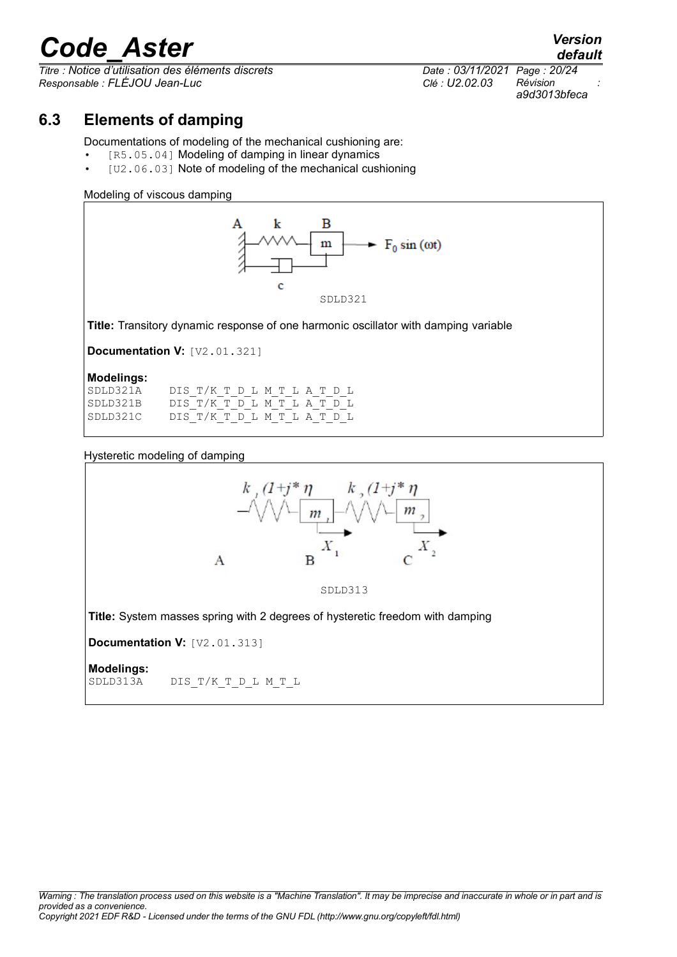*Titre : Notice d'utilisation des éléments discrets Date : 03/11/2021 Page : 20/24 Responsable : FLÉJOU Jean-Luc Clé : U2.02.03 Révision :*

*a9d3013bfeca*

*default*

#### **6.3 Elements of damping**

<span id="page-19-0"></span>Documentations of modeling of the mechanical cushioning are:

- [R5.05.04] Modeling of damping in linear dynamics
- [U2.06.03] Note of modeling of the mechanical cushioning

#### Modeling of viscous damping



**Title:** Transitory dynamic response of one harmonic oscillator with damping variable

**Documentation V:** [V2.01.321]

#### **Modelings:**

| SDLD321A | DIS T/K T D L M T L A T D L |  |  |  |  |  |
|----------|-----------------------------|--|--|--|--|--|
| SDLD321B | DIS T/K T D L M T L A T D L |  |  |  |  |  |
| SDLD321C | DIS T/K T D L M T L A T D L |  |  |  |  |  |

#### Hysteretic modeling of damping

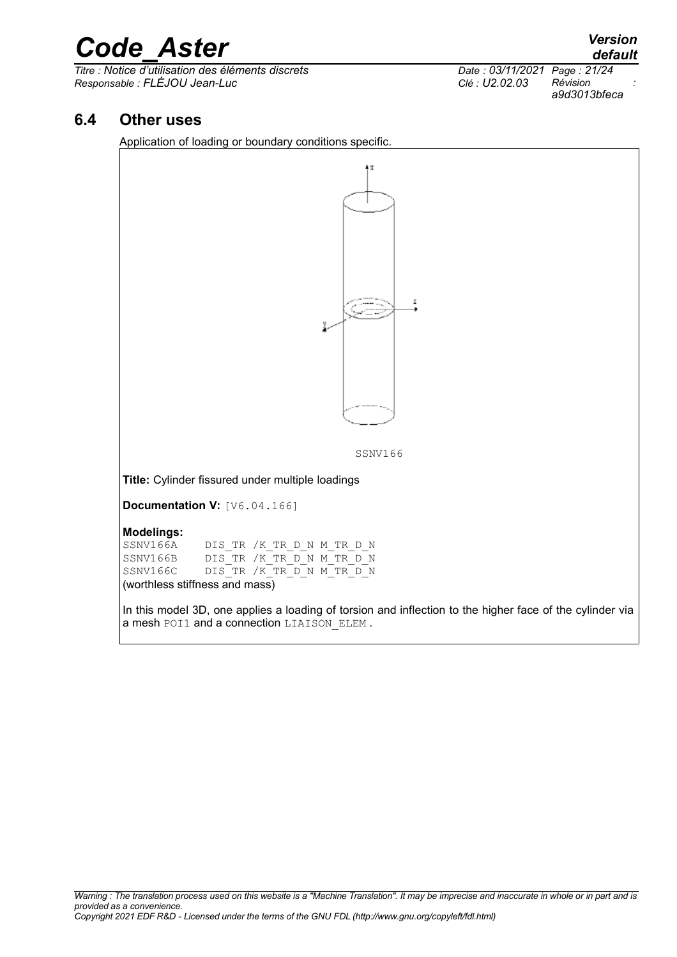*Titre : Notice d'utilisation des éléments discrets Date : 03/11/2021 Page : 21/24 Responsable : FLÉJOU Jean-Luc Clé : U2.02.03 Révision :*

*a9d3013bfeca*

#### **6.4 Other uses**

<span id="page-20-0"></span>Application of loading or boundary conditions specific.

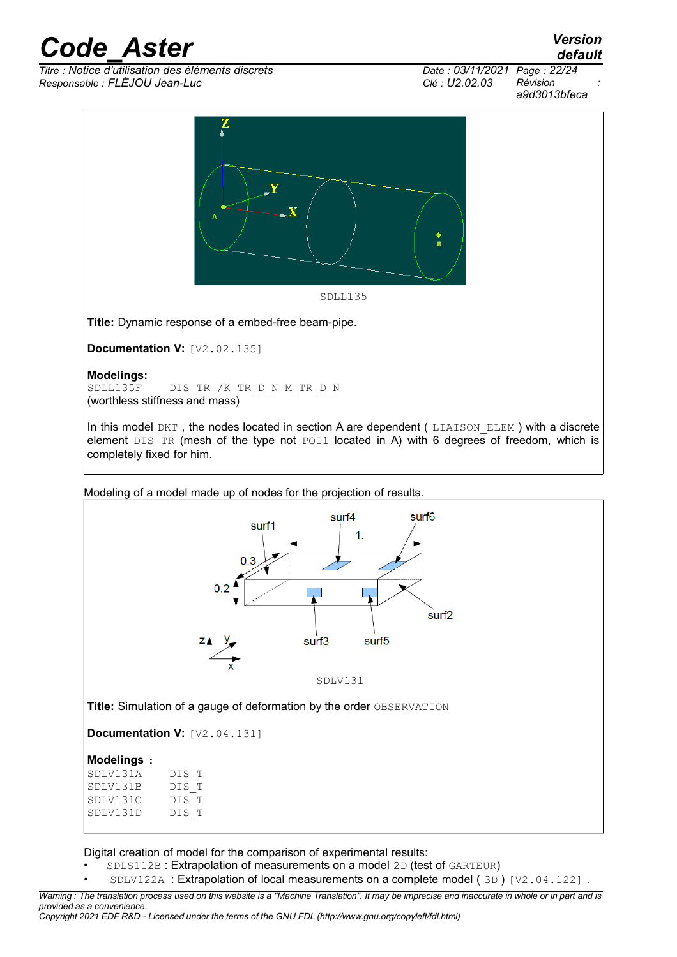$\overline{T}$ *Titre : Notice d'utilisation des éléments discrets Responsable : FLÉJOU Jean-Luc Clé : U2.02.03 Révision :*

*a9d3013bfeca*

*default*



**Title:** Dynamic response of a embed-free beam-pipe.

**Documentation V:** [V2.02.135]

**Modelings:** DIS TR /K TR D N M TR D N (worthless stiffness and mass)

In this model DKT, the nodes located in section A are dependent (LIAISON ELEM) with a discrete element DIS\_TR (mesh of the type not POI1 located in A) with 6 degrees of freedom, which is completely fixed for him.

Modeling of a model made up of nodes for the projection of results.



**Title:** Simulation of a gauge of deformation by the order OBSERVATION

**Documentation V: [V2.04.131]** 

#### **Modelings :**

| SDLV131A | DIS T |
|----------|-------|
| SDLV131B | DIS T |
| SDLV131C | DIS T |
| SDLV131D | DIS T |
|          |       |

Digital creation of model for the comparison of experimental results:

- SDLS112B : Extrapolation of measurements on a model 2D (test of GARTEUR)
- SDLV122A : Extrapolation of local measurements on a complete model ( 3D ) [V2.04.122] .

*Warning : The translation process used on this website is a "Machine Translation". It may be imprecise and inaccurate in whole or in part and is provided as a convenience. Copyright 2021 EDF R&D - Licensed under the terms of the GNU FDL (http://www.gnu.org/copyleft/fdl.html)*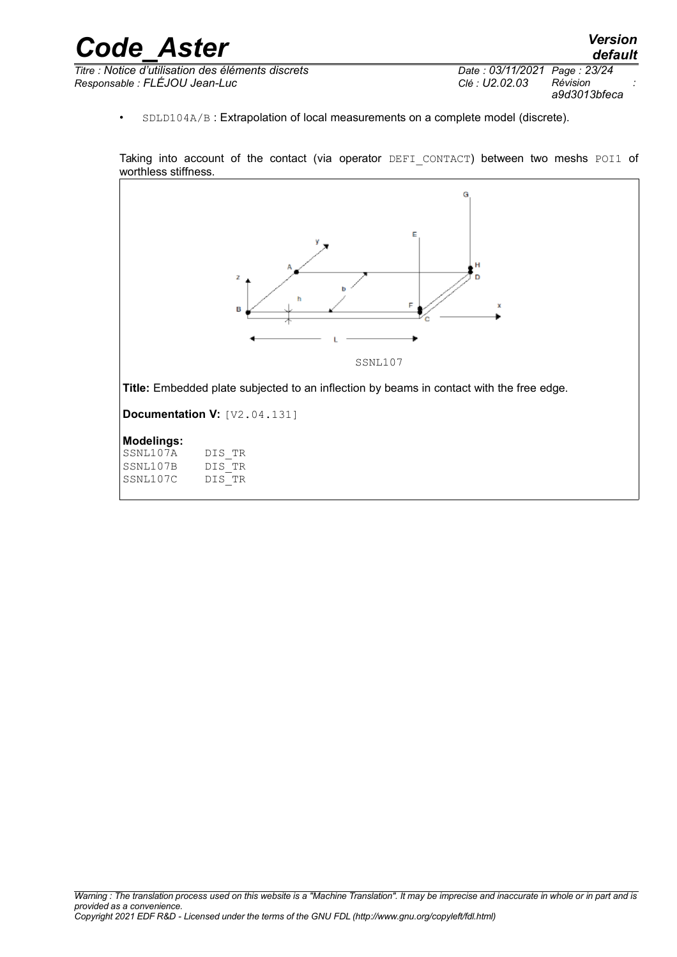| <b>Code Aster</b>                                  |                              | <b>Version</b><br>default |
|----------------------------------------------------|------------------------------|---------------------------|
| Titre : Notice d'utilisation des éléments discrets | Date: 03/11/2021 Page: 23/24 |                           |
| Responsable : FLÉJOU Jean-Luc                      | Clé : U2.02.03               | Révision<br>a9d3013bfeca  |

• SDLD104A/B : Extrapolation of local measurements on a complete model (discrete).

Taking into account of the contact (via operator DEFI\_CONTACT) between two meshs POI1 of worthless stiffness.